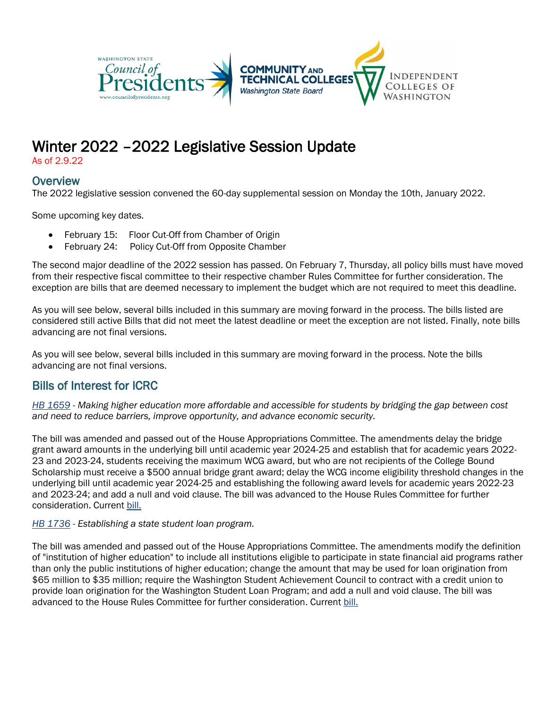

# Winter 2022 –2022 Legislative Session Update

As of 2.9.22

# **Overview**

The 2022 legislative session convened the 60-day supplemental session on Monday the 10th, January 2022.

Some upcoming key dates.

- February 15: Floor Cut-Off from Chamber of Origin
- February 24: Policy Cut-Off from Opposite Chamber

The second major deadline of the 2022 session has passed. On February 7, Thursday, all policy bills must have moved from their respective fiscal committee to their respective chamber Rules Committee for further consideration. The exception are bills that are deemed necessary to implement the budget which are not required to meet this deadline.

As you will see below, several bills included in this summary are moving forward in the process. The bills listed are considered still active Bills that did not meet the latest deadline or meet the exception are not listed. Finally, note bills advancing are not final versions.

As you will see below, several bills included in this summary are moving forward in the process. Note the bills advancing are not final versions.

# Bills of Interest for ICRC

*[HB 1659](https://app.leg.wa.gov/billsummary?BillNumber=1659&Initiative=false&Year=2021) - Making higher education more affordable and accessible for students by bridging the gap between cost and need to reduce barriers, improve opportunity, and advance economic security.*

The bill was amended and passed out of the House Appropriations Committee. The amendments delay the bridge grant award amounts in the underlying bill until academic year 2024-25 and establish that for academic years 2022- 23 and 2023-24, students receiving the maximum WCG award, but who are not recipients of the College Bound Scholarship must receive a \$500 annual bridge grant award; delay the WCG income eligibility threshold changes in the underlying bill until academic year 2024-25 and establishing the following award levels for academic years 2022-23 and 2023-24; and add a null and void clause. The bill was advanced to the House Rules Committee for further consideration. Curren[t bill.](https://lawfilesext.leg.wa.gov/biennium/2021-22/Pdf/Bills/House%20Bills/1659-S2.pdf?q=20220208114821)

#### *[HB 1736](https://app.leg.wa.gov/billsummary?BillNumber=1736&Initiative=false&Year=2021) - Establishing a state student loan program.*

The bill was amended and passed out of the House Appropriations Committee. The amendments modify the definition of "institution of higher education" to include all institutions eligible to participate in state financial aid programs rather than only the public institutions of higher education; change the amount that may be used for loan origination from \$65 million to \$35 million; require the Washington Student Achievement Council to contract with a credit union to provide loan origination for the Washington Student Loan Program; and add a null and void clause. The bill was advanced to the House Rules Committee for further consideration. Current [bill.](https://lawfilesext.leg.wa.gov/biennium/2021-22/Pdf/Bills/House%20Bills/1736-S2.pdf?q=20220208114939)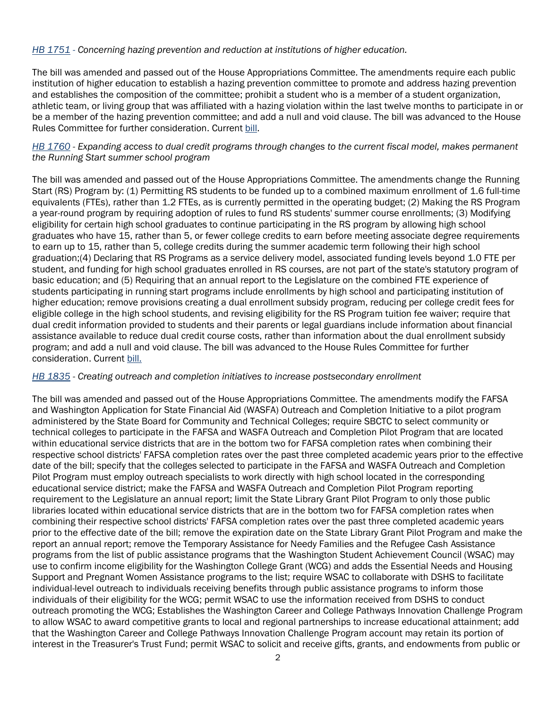#### *[HB 1751](https://app.leg.wa.gov/billsummary?BillNumber=1751&Year=2021&Initiative=false) - Concerning hazing prevention and reduction at institutions of higher education.*

The bill was amended and passed out of the House Appropriations Committee. The amendments require each public institution of higher education to establish a hazing prevention committee to promote and address hazing prevention and establishes the composition of the committee; prohibit a student who is a member of a student organization, athletic team, or living group that was affiliated with a hazing violation within the last twelve months to participate in or be a member of the hazing prevention committee; and add a null and void clause. The bill was advanced to the House Rules Committee for further consideration. Current [bill.](https://lawfilesext.leg.wa.gov/biennium/2021-22/Pdf/Bills/House%20Bills/1751-S2.pdf?q=20220208115020)

#### *[HB 1760](https://lawfilesext.leg.wa.gov/biennium/2021-22/Pdf/Bills/House%20Bills/1760.pdf?q=20220114121046) - Expanding access to dual credit programs through changes to the current fiscal model, makes permanent the Running Start summer school program*

The bill was amended and passed out of the House Appropriations Committee. The amendments change the Running Start (RS) Program by: (1) Permitting RS students to be funded up to a combined maximum enrollment of 1.6 full-time equivalents (FTEs), rather than 1.2 FTEs, as is currently permitted in the operating budget; (2) Making the RS Program a year-round program by requiring adoption of rules to fund RS students' summer course enrollments; (3) Modifying eligibility for certain high school graduates to continue participating in the RS program by allowing high school graduates who have 15, rather than 5, or fewer college credits to earn before meeting associate degree requirements to earn up to 15, rather than 5, college credits during the summer academic term following their high school graduation;(4) Declaring that RS Programs as a service delivery model, associated funding levels beyond 1.0 FTE per student, and funding for high school graduates enrolled in RS courses, are not part of the state's statutory program of basic education; and (5) Requiring that an annual report to the Legislature on the combined FTE experience of students participating in running start programs include enrollments by high school and participating institution of higher education; remove provisions creating a dual enrollment subsidy program, reducing per college credit fees for eligible college in the high school students, and revising eligibility for the RS Program tuition fee waiver; require that dual credit information provided to students and their parents or legal guardians include information about financial assistance available to reduce dual credit course costs, rather than information about the dual enrollment subsidy program; and add a null and void clause. The bill was advanced to the House Rules Committee for further consideration. Current [bill.](https://lawfilesext.leg.wa.gov/biennium/2021-22/Pdf/Bills/House%20Bills/1760-S2.pdf?q=20220208120743)

#### *[HB 1835](https://app.leg.wa.gov/billsummary?BillNumber=1835&Initiative=false&Year=2021) - Creating outreach and completion initiatives to increase postsecondary enrollment*

The bill was amended and passed out of the House Appropriations Committee. The amendments modify the FAFSA and Washington Application for State Financial Aid (WASFA) Outreach and Completion Initiative to a pilot program administered by the State Board for Community and Technical Colleges; require SBCTC to select community or technical colleges to participate in the FAFSA and WASFA Outreach and Completion Pilot Program that are located within educational service districts that are in the bottom two for FAFSA completion rates when combining their respective school districts' FAFSA completion rates over the past three completed academic years prior to the effective date of the bill; specify that the colleges selected to participate in the FAFSA and WASFA Outreach and Completion Pilot Program must employ outreach specialists to work directly with high school located in the corresponding educational service district; make the FAFSA and WASFA Outreach and Completion Pilot Program reporting requirement to the Legislature an annual report; limit the State Library Grant Pilot Program to only those public libraries located within educational service districts that are in the bottom two for FAFSA completion rates when combining their respective school districts' FAFSA completion rates over the past three completed academic years prior to the effective date of the bill; remove the expiration date on the State Library Grant Pilot Program and make the report an annual report; remove the Temporary Assistance for Needy Families and the Refugee Cash Assistance programs from the list of public assistance programs that the Washington Student Achievement Council (WSAC) may use to confirm income eligibility for the Washington College Grant (WCG) and adds the Essential Needs and Housing Support and Pregnant Women Assistance programs to the list; require WSAC to collaborate with DSHS to facilitate individual-level outreach to individuals receiving benefits through public assistance programs to inform those individuals of their eligibility for the WCG; permit WSAC to use the information received from DSHS to conduct outreach promoting the WCG; Establishes the Washington Career and College Pathways Innovation Challenge Program to allow WSAC to award competitive grants to local and regional partnerships to increase educational attainment; add that the Washington Career and College Pathways Innovation Challenge Program account may retain its portion of interest in the Treasurer's Trust Fund; permit WSAC to solicit and receive gifts, grants, and endowments from public or